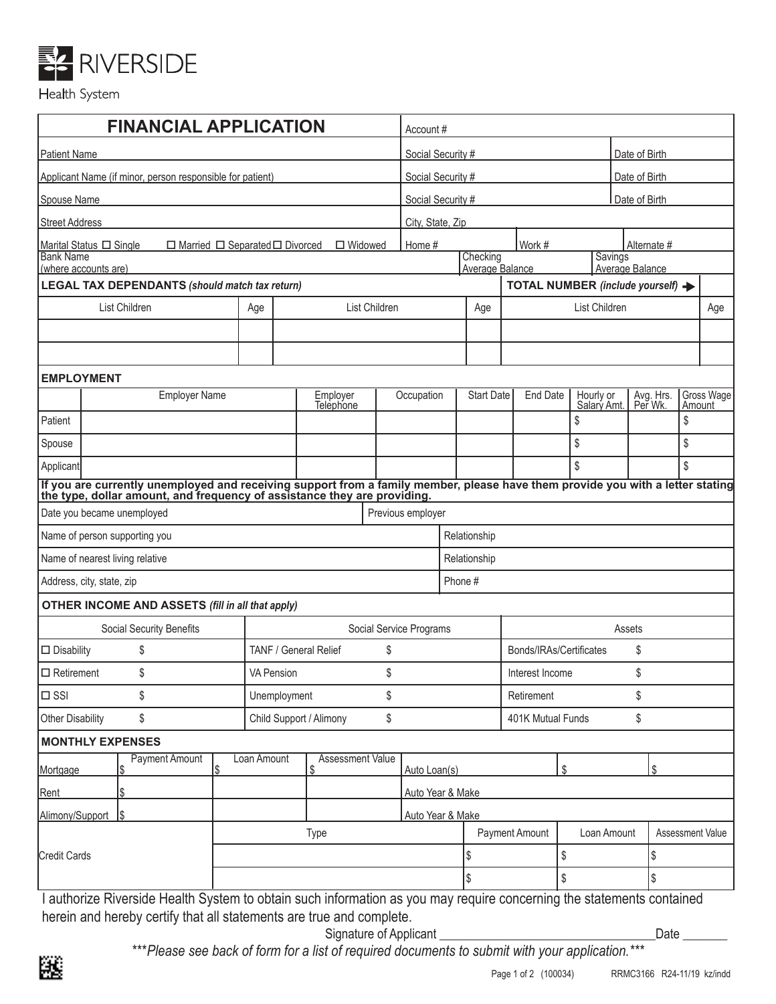

## Health System

| <b>FINANCIAL APPLICATION</b>                                                                 |                                                                                                                                                                                                            |    |                       | Account #                       |                                                                  |                                   |                                   |                       |                |                          |                      |                  |                      |
|----------------------------------------------------------------------------------------------|------------------------------------------------------------------------------------------------------------------------------------------------------------------------------------------------------------|----|-----------------------|---------------------------------|------------------------------------------------------------------|-----------------------------------|-----------------------------------|-----------------------|----------------|--------------------------|----------------------|------------------|----------------------|
| <b>Patient Name</b>                                                                          |                                                                                                                                                                                                            |    |                       |                                 | Social Security #                                                |                                   |                                   |                       |                | Date of Birth            |                      |                  |                      |
| Applicant Name (if minor, person responsible for patient)                                    |                                                                                                                                                                                                            |    |                       |                                 |                                                                  | Social Security #                 |                                   |                       |                |                          | Date of Birth        |                  |                      |
| Spouse Name                                                                                  |                                                                                                                                                                                                            |    |                       |                                 | Social Security #<br>Date of Birth                               |                                   |                                   |                       |                |                          |                      |                  |                      |
| <b>Street Address</b>                                                                        |                                                                                                                                                                                                            |    |                       |                                 | City, State, Zip                                                 |                                   |                                   |                       |                |                          |                      |                  |                      |
| $\Box$ Married $\Box$ Separated $\Box$ Divorced<br>$\Box$ Widowed<br>Marital Status □ Single |                                                                                                                                                                                                            |    |                       |                                 |                                                                  | Work #<br>Home #                  |                                   |                       |                | Alternate #              |                      |                  |                      |
| <b>Bank Name</b><br>(where accounts are)                                                     |                                                                                                                                                                                                            |    |                       |                                 | Checking<br>Savings<br>Average Balance<br><b>Average Balance</b> |                                   |                                   |                       |                |                          |                      |                  |                      |
|                                                                                              | <b>LEGAL TAX DEPENDANTS (should match tax return)</b>                                                                                                                                                      |    |                       |                                 |                                                                  |                                   | TOTAL NUMBER (include yourself) - |                       |                |                          |                      |                  |                      |
| List Children                                                                                |                                                                                                                                                                                                            |    | List Children<br>Age  |                                 |                                                                  | Age                               |                                   |                       |                | List Children            |                      | Age              |                      |
|                                                                                              |                                                                                                                                                                                                            |    |                       |                                 |                                                                  |                                   |                                   |                       |                |                          |                      |                  |                      |
|                                                                                              |                                                                                                                                                                                                            |    |                       |                                 |                                                                  |                                   |                                   |                       |                |                          |                      |                  |                      |
| <b>EMPLOYMENT</b>                                                                            |                                                                                                                                                                                                            |    |                       |                                 |                                                                  |                                   |                                   |                       |                |                          |                      |                  |                      |
|                                                                                              | <b>Employer Name</b>                                                                                                                                                                                       |    | Employer<br>Telephone |                                 | Occupation                                                       |                                   |                                   | <b>Start Date</b>     | End Date       | Hourly or<br>Salary Amt. | Avg. Hrs.<br>Per Wk. |                  | Gross Wage<br>Amount |
| Patient                                                                                      |                                                                                                                                                                                                            |    |                       |                                 |                                                                  |                                   |                                   |                       |                | \$                       |                      | \$               |                      |
| Spouse                                                                                       |                                                                                                                                                                                                            |    |                       |                                 |                                                                  |                                   |                                   |                       |                | \$                       |                      | \$               |                      |
| Applicant                                                                                    |                                                                                                                                                                                                            |    |                       |                                 |                                                                  |                                   |                                   |                       | $\mathbb{S}$   |                          | \$                   |                  |                      |
|                                                                                              | If you are currently unemployed and receiving support from a family member, please have them provide you with a letter stating<br>the type, dollar amount, and frequency of assistance they are providing. |    |                       |                                 |                                                                  |                                   |                                   |                       |                |                          |                      |                  |                      |
|                                                                                              | Date you became unemployed                                                                                                                                                                                 |    |                       |                                 |                                                                  | Previous employer                 |                                   |                       |                |                          |                      |                  |                      |
| Name of person supporting you                                                                |                                                                                                                                                                                                            |    |                       |                                 | Relationship                                                     |                                   |                                   |                       |                |                          |                      |                  |                      |
| Name of nearest living relative                                                              |                                                                                                                                                                                                            |    |                       |                                 |                                                                  | Relationship                      |                                   |                       |                |                          |                      |                  |                      |
| Address, city, state, zip                                                                    |                                                                                                                                                                                                            |    |                       |                                 |                                                                  | Phone #                           |                                   |                       |                |                          |                      |                  |                      |
|                                                                                              | <b>OTHER INCOME AND ASSETS (fill in all that apply)</b>                                                                                                                                                    |    |                       |                                 |                                                                  |                                   |                                   |                       |                |                          |                      |                  |                      |
|                                                                                              | <b>Social Security Benefits</b>                                                                                                                                                                            |    |                       |                                 |                                                                  | Social Service Programs<br>Assets |                                   |                       |                |                          |                      |                  |                      |
| \$<br>TANF / General Relief<br>$\square$ Disability                                          |                                                                                                                                                                                                            |    | \$                    |                                 |                                                                  |                                   | Bonds/IRAs/Certificates<br>\$     |                       |                |                          |                      |                  |                      |
| \$<br>$\Box$ Retirement<br><b>VA Pension</b>                                                 |                                                                                                                                                                                                            |    |                       | \$                              |                                                                  |                                   |                                   | \$<br>Interest Income |                |                          |                      |                  |                      |
| $\square$ SSI                                                                                | \$<br>\$<br>Unemployment                                                                                                                                                                                   |    |                       |                                 | Retirement                                                       |                                   |                                   |                       | \$             |                          |                      |                  |                      |
| \$<br>Child Support / Alimony<br>\$<br>Other Disability                                      |                                                                                                                                                                                                            |    |                       |                                 | \$<br>401K Mutual Funds                                          |                                   |                                   |                       |                |                          |                      |                  |                      |
|                                                                                              | <b>MONTHLY EXPENSES</b>                                                                                                                                                                                    |    |                       |                                 |                                                                  |                                   |                                   |                       |                |                          |                      |                  |                      |
| Mortgage                                                                                     | <b>Payment Amount</b>                                                                                                                                                                                      | \$ | Loan Amount           | <b>Assessment Value</b><br>- \$ |                                                                  | Auto Loan(s)                      |                                   |                       | \$             |                          | \$                   |                  |                      |
| Rent                                                                                         |                                                                                                                                                                                                            |    |                       |                                 |                                                                  | Auto Year & Make                  |                                   |                       |                |                          |                      |                  |                      |
| Alimony/Support                                                                              |                                                                                                                                                                                                            |    |                       |                                 |                                                                  | Auto Year & Make                  |                                   |                       |                |                          |                      |                  |                      |
|                                                                                              |                                                                                                                                                                                                            |    |                       | Type                            |                                                                  |                                   |                                   |                       | Payment Amount | Loan Amount              |                      | Assessment Value |                      |
| <b>Credit Cards</b>                                                                          |                                                                                                                                                                                                            |    |                       |                                 |                                                                  | \$                                |                                   | \$                    |                | \$                       |                      |                  |                      |
|                                                                                              |                                                                                                                                                                                                            |    |                       |                                 |                                                                  | \$                                |                                   | \$                    |                | \$                       |                      |                  |                      |
|                                                                                              | Lauthorize Riverside Health System to obtain such information as you may require concerning the statements contained                                                                                       |    |                       |                                 |                                                                  |                                   |                                   |                       |                |                          |                      |                  |                      |

I authorize Riverside Health System to obtain such information as you may require concerning the statements contained herein and hereby certify that all statements are true and complete.

Signature of Applicant \_\_\_\_\_\_\_\_\_\_\_\_\_\_\_\_\_\_\_\_\_\_\_\_\_\_\_\_\_\_\_\_\_\_Date \_\_\_\_\_\_\_

\*\*\**Please see back of form for a list of required documents to submit with your application.\*\*\** Page 1 of 2 (100034) RRMC3166 R24-11/19 kz/indd<br>Page 1 of 2 (100034) RRMC3166 R24-11/19 kz/indd